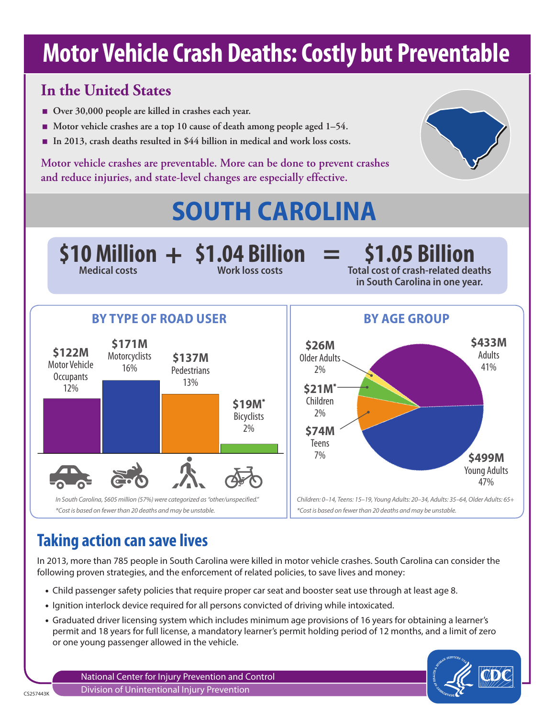# **Motor Vehicle Crash Deaths: Costly but Preventable**

## **In the United States**

- Over 30,000 people are killed in crashes each year.
- **Motor vehicle crashes are a top 10 cause of death among people aged 1–54.**
- **In 2013, crash deaths resulted in \$44 billion in medical and work loss costs.**

**Motor vehicle crashes are preventable. More can be done to prevent crashes and reduce injuries, and state-level changes are especially effective.**



# **SOUTH CAROLINA**



## **Taking action can save lives**

In 2013, more than 785 people in South Carolina were killed in motor vehicle crashes. South Carolina can consider the following proven strategies, and the enforcement of related policies, to save lives and money:

- Child passenger safety policies that require proper car seat and booster seat use through at least age 8.
- Ignition interlock device required for all persons convicted of driving while intoxicated.
- Graduated driver licensing system which includes minimum age provisions of 16 years for obtaining a learner's permit and 18 years for full license, a mandatory learner's permit holding period of 12 months, and a limit of zero or one young passenger allowed in the vehicle.

National Center for Injury Prevention and Control Division of Unintentional Injury Prevention